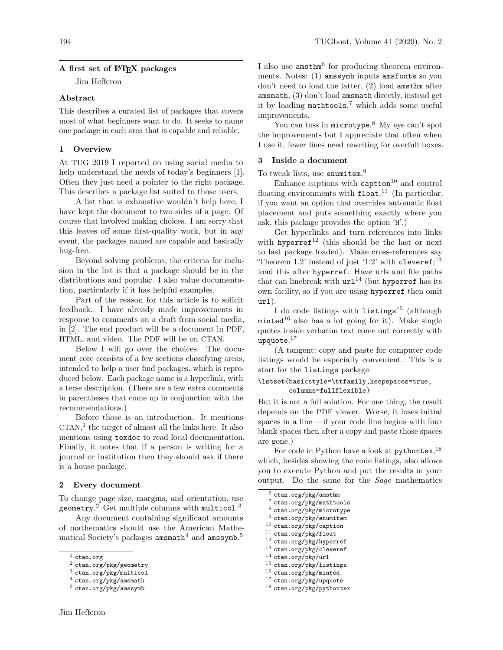## A first set of L<sup>AT</sup>FX packages

Jim Hefferon

## Abstract

This describes a curated list of packages that covers most of what beginners want to do. It seeks to name one package in each area that is capable and reliable.

## 1 Overview

At TUG 2019 I reported on using social media to help understand the needs of today's beginners [\[1\]](#page-1-0). Often they just need a pointer to the right package. This describes a package list suited to those users.

A list that is exhaustive wouldn't help here; I have kept the document to two sides of a page. Of course that involved making choices. I am sorry that this leaves off some first-quality work, but in any event, the packages named are capable and basically bug-free.

Beyond solving problems, the criteria for inclusion in the list is that a package should be in the distributions and popular. I also value documentation, particularly if it has helpful examples.

Part of the reason for this article is to solicit feedback. I have already made improvements in response to comments on a draft from social media, in [\[2\]](#page-1-1). The end product will be a document in PDF, HTML, and video. The PDF will be on CTAN.

Below I will go over the choices. The document core consists of a few sections classifying areas, intended to help a user find packages, which is reproduced below. Each package name is a hyperlink, with a terse description. (There are a few extra comments in parentheses that come up in conjunction with the recommendations.)

Before those is an introduction. It mentions CTAN, [1](#page-0-0) the target of almost all the links here. It also mentions using texdoc to read local documentation. Finally, it notes that if a person is writing for a journal or institution then they should ask if there is a house package.

## 2 Every document

To change page size, margins, and orientation, use geometry. $^2$  $^2$  Get multiple columns with multicol. $^3$  $^3$ 

Any document containing significant amounts of mathematics should use the American Mathematical Society's packages  ${\tt amsmath}^4$  ${\tt amsmath}^4$  and  ${\tt amssymb}.^5$  ${\tt amssymb}.^5$ 

I also use amsthm<sup>[6](#page-0-5)</sup> for producing theorem environments. Notes: (1) amssymb inputs amsfonts so you don't need to load the latter, (2) load amsthm after amsmath, (3) don't load amsmath directly, instead get it by loading mathtools, [7](#page-0-6) which adds some useful improvements.

You can toss in microtype.<sup>[8](#page-0-7)</sup> My eye can't spot the improvements but I appreciate that often when I use it, fewer lines need rewriting for overfull boxes.

# 3 Inside a document

To tweak lists, use enumitem. [9](#page-0-8)

Enhance captions with  $\texttt{caption}^{10}$  $\texttt{caption}^{10}$  $\texttt{caption}^{10}$  and control floating environments with  $float.<sup>11</sup>$  $float.<sup>11</sup>$  $float.<sup>11</sup>$  (In particular, if you want an option that overrides automatic float placement and puts something exactly where you ask, this package provides the option 'H'.)

Get hyperlinks and turn references into links with hyperref<sup>[12](#page-0-11)</sup> (this should be the last or next) to last package loaded). Make cross-references say 'Theorem 1.2' instead of just '1.2' with cleveref; $^{13}$  $^{13}$  $^{13}$ load this after hyperref. Have urls and file paths that can linebreak with  $url^{14}$  $url^{14}$  $url^{14}$  (but hyperref has its own facility, so if you are using hyperref then omit url).

I do code listings with  $listings<sup>15</sup>$  $listings<sup>15</sup>$  $listings<sup>15</sup>$  (although  $mintered$ <sup>[16](#page-0-15)</sup> also has a lot going for it). Make single quotes inside verbatim text come out correctly with  $\tt{upquote.}^{17}$  $\tt{upquote.}^{17}$  $\tt{upquote.}^{17}$ 

(A tangent: copy and paste for computer code listings would be especially convenient. This is a start for the listings package.

## \lstset{basicstyle=\ttfamily,keepspaces=true, columns=fullflexible}

But it is not a full solution. For one thing, the result depends on the PDF viewer. Worse, it loses initial spaces in a line— if your code line begins with four blank spaces then after a copy and paste those spaces are gone.)

For code in Python have a look at pythontex,  $^{18}$  $^{18}$  $^{18}$ which, besides showing the code listings, also allows you to execute Python and put the results in your output. Do the same for the Sage mathematics

- <span id="page-0-9"></span> $^{10}$ [ctan.org/pkg/caption](https://ctan.org/pkg/caption)
- <span id="page-0-10"></span> $11$  [ctan.org/pkg/float](https://ctan.org/pkg/float)
- <span id="page-0-11"></span><sup>12</sup> [ctan.org/pkg/hyperref](https://ctan.org/pkg/hyperref) <sup>13</sup> [ctan.org/pkg/cleveref](https://ctan.org/pkg/cleveref)
- <span id="page-0-13"></span><span id="page-0-12"></span> $^{14}$ [ctan.org/pkg/url](https://ctan.org/pkg/url)
- <span id="page-0-14"></span><sup>15</sup> [ctan.org/pkg/listings](https://ctan.org/pkg/listings)
- <span id="page-0-15"></span><sup>16</sup> [ctan.org/pkg/minted](https://ctan.org/pkg/minted)
- <span id="page-0-16"></span> $^{17}$ [ctan.org/pkg/upquote](https://ctan.org/pkg/upquote)

<span id="page-0-0"></span> $1$  [ctan.org](https://ctan.org)

<span id="page-0-1"></span> $^{2}$  [ctan.org/pkg/geometry](https://ctan.org/pkg/geometry)

<span id="page-0-2"></span><sup>3</sup> [ctan.org/pkg/multicol](https://ctan.org/pkg/multicol)

<span id="page-0-3"></span> $4$  [ctan.org/pkg/amsmath](https://ctan.org/pkg/amsmath)

<span id="page-0-4"></span><sup>5</sup> [ctan.org/pkg/amssymb](https://ctan.org/pkg/amssymb)

<span id="page-0-5"></span> $6$  [ctan.org/pkg/amsthm](https://ctan.org/pkg/amsthm)

<span id="page-0-6"></span><sup>7</sup> [ctan.org/pkg/mathtools](https://ctan.org/pkg/mathtools)

<span id="page-0-7"></span> $^8$ [ctan.org/pkg/microtype](https://ctan.org/pkg/microtype)

<span id="page-0-8"></span><sup>9</sup> [ctan.org/pkg/enumitem](https://ctan.org/pkg/enumitem)

<span id="page-0-17"></span><sup>18</sup> [ctan.org/pkg/pythontex](https://ctan.org/pkg/pythontex)